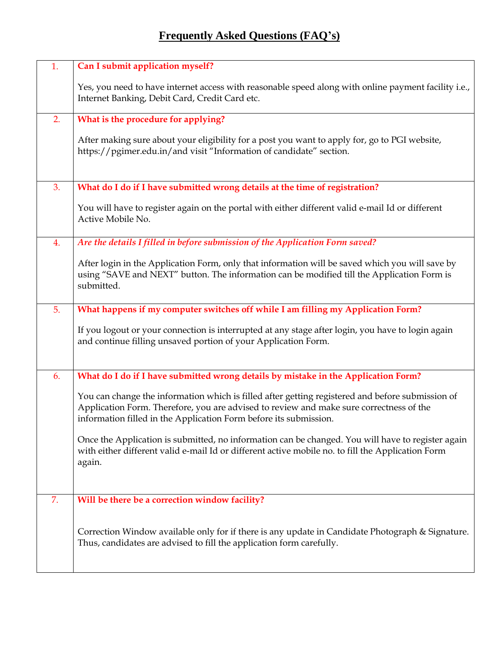## **Frequently Asked Questions (FAQ's)**

| 1. | Can I submit application myself?                                                                                                                                                                                                                                 |
|----|------------------------------------------------------------------------------------------------------------------------------------------------------------------------------------------------------------------------------------------------------------------|
|    | Yes, you need to have internet access with reasonable speed along with online payment facility i.e.,<br>Internet Banking, Debit Card, Credit Card etc.                                                                                                           |
| 2. | What is the procedure for applying?                                                                                                                                                                                                                              |
|    | After making sure about your eligibility for a post you want to apply for, go to PGI website,<br>https://pgimer.edu.in/and visit "Information of candidate" section.                                                                                             |
| 3. | What do I do if I have submitted wrong details at the time of registration?                                                                                                                                                                                      |
|    | You will have to register again on the portal with either different valid e-mail Id or different<br>Active Mobile No.                                                                                                                                            |
| 4. | Are the details I filled in before submission of the Application Form saved?                                                                                                                                                                                     |
|    | After login in the Application Form, only that information will be saved which you will save by<br>using "SAVE and NEXT" button. The information can be modified till the Application Form is<br>submitted.                                                      |
| 5. | What happens if my computer switches off while I am filling my Application Form?                                                                                                                                                                                 |
|    | If you logout or your connection is interrupted at any stage after login, you have to login again<br>and continue filling unsaved portion of your Application Form.                                                                                              |
| 6. | What do I do if I have submitted wrong details by mistake in the Application Form?                                                                                                                                                                               |
|    | You can change the information which is filled after getting registered and before submission of<br>Application Form. Therefore, you are advised to review and make sure correctness of the<br>information filled in the Application Form before its submission. |
|    | Once the Application is submitted, no information can be changed. You will have to register again<br>with either different valid e-mail Id or different active mobile no. to fill the Application Form<br>again.                                                 |
|    |                                                                                                                                                                                                                                                                  |
| 7. | Will be there be a correction window facility?                                                                                                                                                                                                                   |
|    | Correction Window available only for if there is any update in Candidate Photograph & Signature.<br>Thus, candidates are advised to fill the application form carefully.                                                                                         |